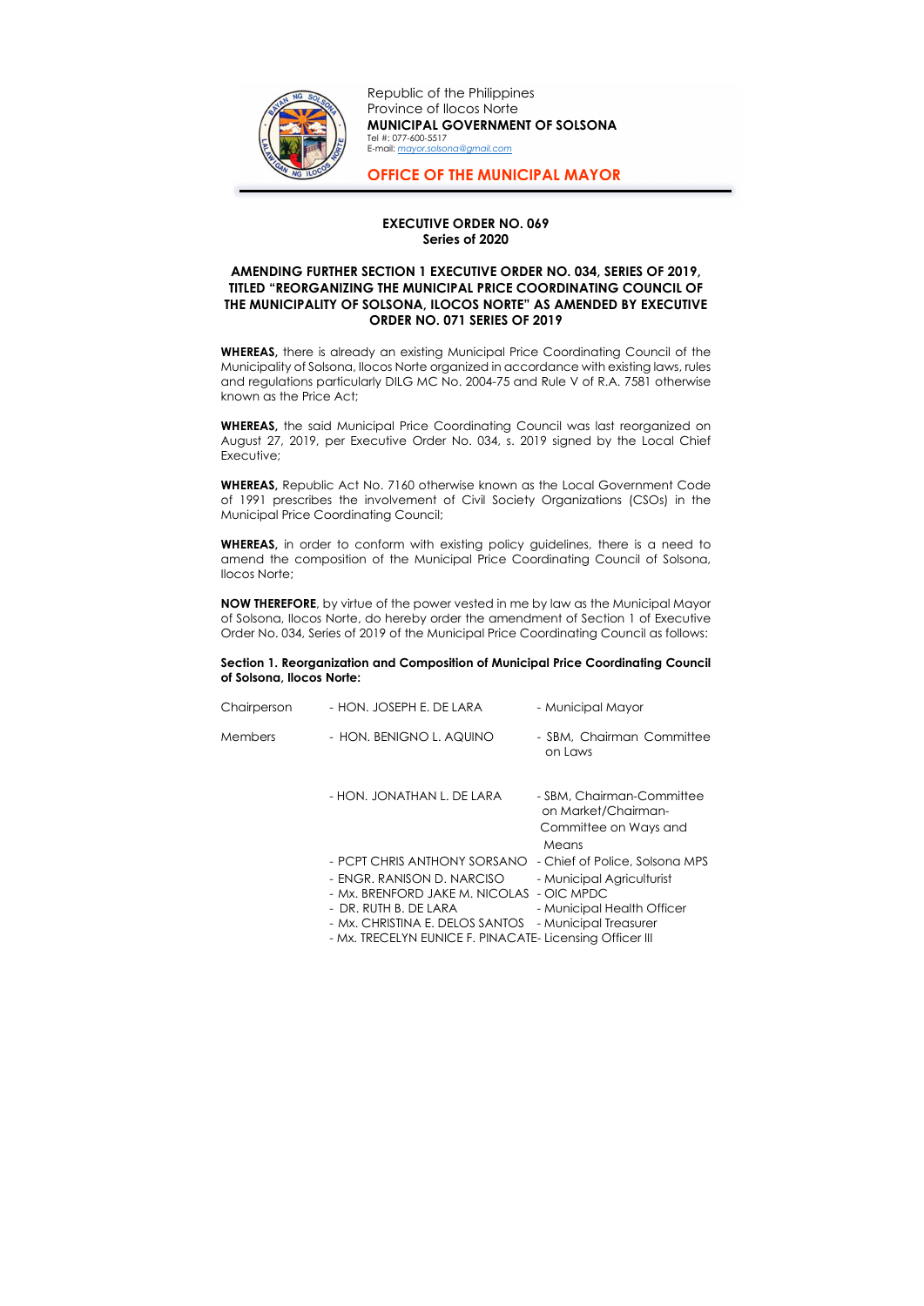## EXECUTIVE ORDER NO. 069 Series of 2020

## AMENDING FURTHER SECTION 1 EXECUTIVE ORDER NO. 034, SERIES OF 2019, TITLED "REORGANIZING THE MUNICIPAL PRICE COORDINATING COUNCIL OF THE MUNICIPALITY OF SOLSONA, ILOCOS NORTE" AS AMENDED BY EXECUTIVE ORDER NO. 071 SERIES OF 2019

WHEREAS, there is already an existing Municipal Price Coordinating Council of the Municipality of Solsona, Ilocos Norte organized in accordance with existing laws, rules and regulations particularly DILG MC No. 2004-75 and Rule V of R.A. 7581 otherwise known as the Price Act;

WHEREAS, in order to conform with existing policy guidelines, there is a need to amend the composition of the Municipal Price Coordinating Council of Solsona, Ilocos Norte;

WHEREAS, the said Municipal Price Coordinating Council was last reorganized on August 27, 2019, per Executive Order No. 034, s. 2019 signed by the Local Chief Executive;

WHEREAS, Republic Act No. 7160 otherwise known as the Local Government Code of 1991 prescribes the involvement of Civil Society Organizations (CSOs) in the Municipal Price Coordinating Council;

NOW THEREFORE, by virtue of the power vested in me by law as the Municipal Mayor of Solsona, Ilocos Norte, do hereby order the amendment of Section 1 of Executive Order No. 034, Series of 2019 of the Municipal Price Coordinating Council as follows:

## Section 1. Reorganization and Composition of Municipal Price Coordinating Council of Solsona, Ilocos Norte:

| Chairperson | - HON. JOSEPH E. DE LARA                                                                                                                                                                                             | - Municipal Mayor                                                                                                                |
|-------------|----------------------------------------------------------------------------------------------------------------------------------------------------------------------------------------------------------------------|----------------------------------------------------------------------------------------------------------------------------------|
| Members     | - HON. BENIGNO L. AQUINO                                                                                                                                                                                             | - SBM, Chairman Committee<br>on Laws                                                                                             |
|             | - HON. JONATHAN L. DE LARA                                                                                                                                                                                           | - SBM, Chairman-Committee<br>on Market/Chairman-<br>Committee on Ways and<br>Means                                               |
|             | - PCPT CHRIS ANTHONY SORSANO<br>- ENGR. RANISON D. NARCISO<br>- Mx. BRENFORD JAKE M. NICOLAS<br>- DR. RUTH B. DE LARA<br>- Mx. CHRISTINA E. DELOS SANTOS<br>- Mx. TRECELYN EUNICE F. PINACATE- Licensing Officer III | - Chief of Police, Solsona MPS<br>- Municipal Agriculturist<br>- OIC MPDC<br>- Municipal Health Officer<br>- Municipal Treasurer |



Republic of the Philippines Province of Ilocos Norte MUNICIPAL GOVERNMENT OF SOLSONA Tel #: 077-600-5517 E-mail: mayor.solsona@gmail.com

OFFICE OF THE MUNICIPAL MAYOR